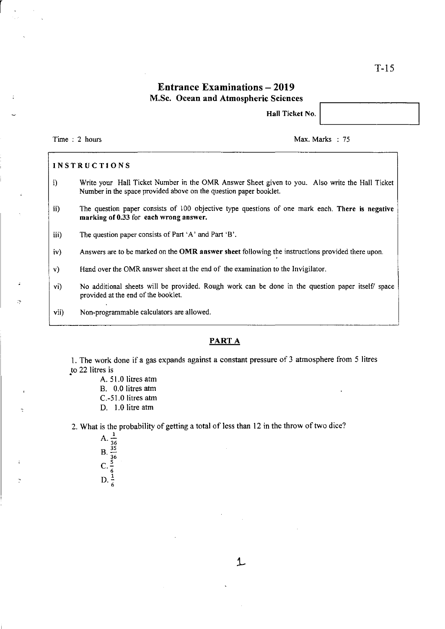## **Entrance Examinations - 2019** M.Sc. Ocean and Atmospheric Sciences

Hall Ticket No.

Time : 2 hours Max. Marks : 75

r

#### INSTRUCTIONS

- i) Write your Hall Ticket Number in the OMR Answer Sheet given to you. Also write the Hall Ticket Number in the space provided above on the question paper booklet.
- ii) The question paper consists of 100 objective type questions of one mark each. There is negative marking of 0.33 for each wrong answer.
- iii) The question paper consists of Part 'A' and Part 'B'.
- iv) Answers are to be marked on the OMR answer sheet following the instructions provided there upon.
- v) Hand over the OMR answer sheet at the end of the examination to the Invigilator.
- vi) No additional sheets will be provided. Rough work can be done in the question paper itself/ space provided at the end of the booklet.
- vii) Non-programmable calculators are allowed.

### PART A

1. The work done if a gas expands against a constant pressure of 3 atmosphere from 5 litres to 22 litres is

- A. 51.0 litres atm B. 0.0 litres atm
- C.-SI.O litres atm
- D. 1.0 litre atm

2. What is the probability of getting a total of less than 12 in the throw of two dice?

 $\mathbf{A}$ 36  $B. \frac{1}{36}$  $C.7 \frac{1}{6}$  $D.7 \frac{1}{6}$ 

1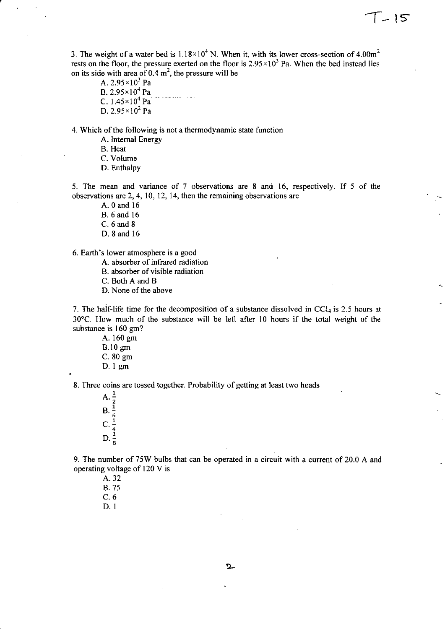3. The weight of a water bed is  $1.18 \times 10^4$  N. When it, with its lower cross-section of 4.00m<sup>2</sup> rests on the floor, the pressure exerted on the floor is  $2.95 \times 10^3$  Pa. When the bed instead lies on its side with area of 0.4  $m^2$ , the pressure will be

7 - 15

A.  $2.95 \times 10^3$  Pa B. 2.95xlO' Pa C.  $1.45 \times 10^4$  Pa D.  $2.95 \times 10^2$  Pa

4. Which of the following is not a thermodynamic state function

A. Internal Energy

B. Heat

C. Volume

D. Enthalpy

5. The mean and variance of 7 observations are 8 and 16, respectively. If 5 of the observations are 2, 4, 10, 12, 14, then the remaining observations are

A. o and 16

B.6and16

C. 6 and 8

D. 8 and 16

6. Earth's lower atmosphere is a good

A. absorber of infrared radiation

B. absorber of visible radiation

C. Both A and B

D. None of the above

7. The half-life time for the decomposition of a substance dissolved in  $CCl<sub>4</sub>$  is 2.5 hours at 30°C. How much of the substance will be left after 10 hours if the total weight of the substance is 160 gm?

A. 160 gm B.10gm C. 80 gm D. 1 gm

8. Three coins are tossed together. Probability of getting at least two heads

 $A. \frac{1}{2}$  $B.$ 6  $C.7$  $D.7 = 8$ 

9. The number of 75W bulbs that can be operated in a circuit with a current of 20.0 A and operating voltage of 120 V is

A.32 B. 75 C.6 D. I

^\_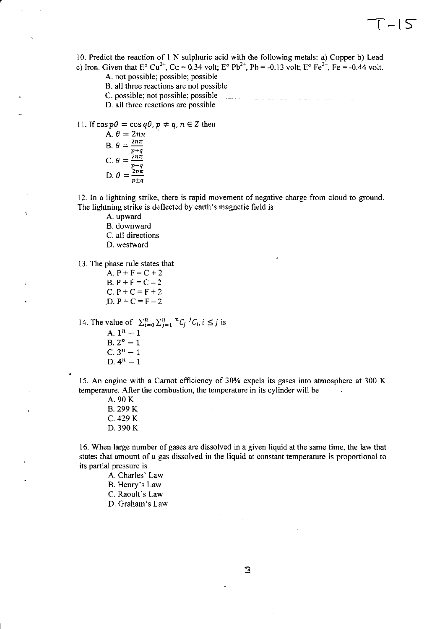10. Predict the reaction of I N sulphuric acid with the following metals: a) Copper b) Lead c) Iron. Given that  $E^{\circ} Cu^{2+}$ ,  $Cu = 0.34$  volt;  $E^{\circ} Pb^{2+}$ ,  $Pb = -0.13$  volt;  $E^{\circ} Fe^{2+}$ ,  $Fe = -0.44$  volt.

 $\lceil -|\mathcal{S}|\rceil$ 

A. not possible; possible; possible

- B. all three reactions are not possible
- C. possible; not possible; possible
- D. all three reactions are possible

11. If 
$$
\cos p\theta = \cos q\theta
$$
,  $p \neq q$ ,  $n \in \mathbb{Z}$  then

A. 
$$
\theta = 2n\pi
$$
  
\nB.  $\theta = \frac{2n\pi}{p+q}$   
\nC.  $\theta = \frac{2n\pi}{p-q}$   
\nD.  $\theta = \frac{2n\pi}{p+q}$ 

12. In a lightning strike, there is rapid movement of negative charge from cloud to ground. The lightning strike is deflected by earth's magnetic field is

A. upward B. downward C. all directions

D. westward

13. The phase rule states that

A.  $P + F = C + 2$  $B. P + F = C - 2$  $C. P + C = F + 2$  $D. P + C = F - 2$ 

14. The value of  $\sum_{i=0}^{n} \sum_{j=1}^{n} {}^{n}C_{j} {}^{j}C_{i}$ ,  $i \leq j$  is

A.  $1^n-1$ B.  $2^n - 1$  $C. 3<sup>n</sup> - 1$ D.  $4^n-1$ 

IS. An engine with a Carnot efficiency of 30% expels its gases into atmosphere at 300 K temperature. After the combustion, the temperature in its cylinder will be

A. 90 K B. 299 K C. 429 K D.390K

16. When large number of gases are dissolved in a given liquid at the same time, the law that states that amount of a gas dissolved in the liquid at constant temperature is proportional to its partial pressure is

- A. Charles' Law
- B. Henry's Law

C. Raoult's Law

D. Graham's Law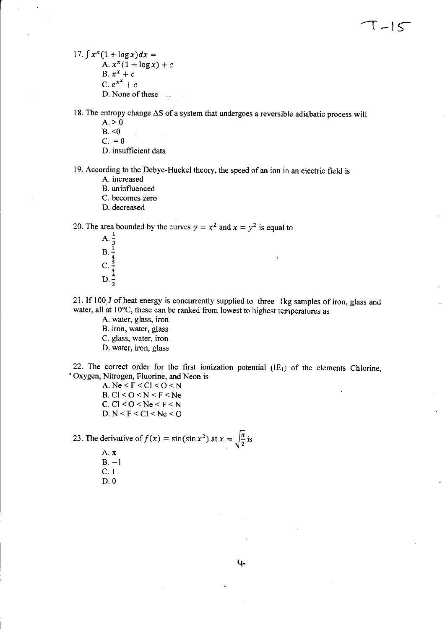- 17.  $\int x^x(1 + \log x)dx =$ A.  $x^x(1 + \log x) + c$ B.  $x^x + c$ C.  $e^{x^x} + c$ D. None of these
- 18. The entropy change  $\Delta S$  of a system that undergoes a reversible adiabatic process will  $A. > 0$ 
	- $B. < 0$
	- $C. = 0$
	- D. insufficient data
- 19. According to the Debye-Huckel theory, the speed of an ion in an electric field is
	- A. increased
	- B. uninfluenced
	- C. becomes zero
	- D. decreased

20. The area bounded by the curves  $y = x^2$  and  $x = y^2$  is equal to

A.  $\frac{1}{3}$  $B. \frac{1}{4}$  $C. \frac{3}{4}$  $D_{\cdot \frac{1}{3}}$ 

21. If 100 J of heat energy is concurrently supplied to three Ikg samples of iron, glass and water, all at 10°C, these can be ranked from lowest to highest temperatures as

- A. water, glass, iron
- B. iron, water, glass
- C. glass, water, iron
- D. water, iron, glass

22. The correct order for the first ionization potential  $(IE<sub>1</sub>)$  of the elements Chlorine, • Oxygen, Nitrogen, Fluorine, and Neon is

> A.  $Ne < F < Cl < O < N$ B.  $Cl < O < N < F < Ne$ C.  $Cl < O < Ne < F < N$ D.  $N < F < C1 < Ne < O$

23. The derivative of  $f(x) = \sin(\sin x^2)$  at  $x = \sqrt{\frac{\pi}{2}}$  is

A. $\pi$  $B - 1$ C.I D.O

4-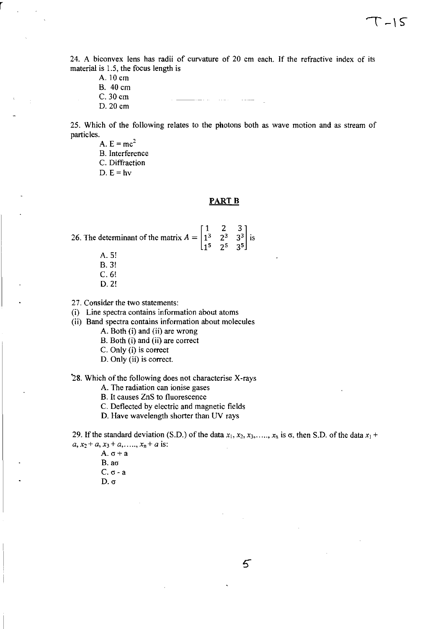24. A biconvex lens has radii of curvature of 20 cm each. If the refractive index of its material is 1.5, the focus length is

A. 10 cm B. 40 cm

r

C. 30 cm

D. 20 cm

25. Which of the following relates to the photons both as wave motion and as stream of particles.

- A.  $E = mc^2$
- B. Interference
- C. Diffraction

D.  $E = h\nu$ 

#### **PART B**

26. The determinant of the matrix  $A = \begin{bmatrix} 1^3 \end{bmatrix}$ 15

- A.5!
- B.3!
- C.6!
- D.2!

27. Consider the two statements:

(i) Line spectra contains information about atoms

(ii) Band spectra contains information about molecules

A. Both (i) and (ii) are wrong

- B. Both (i) and (ii) are correct
- C. Only (i) is correct
- D. Only (ii) is correct.

"28. Which of the following does not characterise X-rays

A. The radiation can ionise gases

B. It causes ZnS to fluorescence

C. Deflected by electric and magnetic fields

D. Have wavelength shorter than UV rays

29. If the standard deviation (S.D.) of the data  $x_1, x_2, x_3, \ldots, x_n$  is  $\sigma$ , then S.D. of the data  $x_1$  +  $a, x_2 + a, x_3 + a, \ldots, x_n + a$  is:

- A.  $\sigma$  + a
- $B. a\sigma$
- $C. \sigma a$
- $D. \sigma$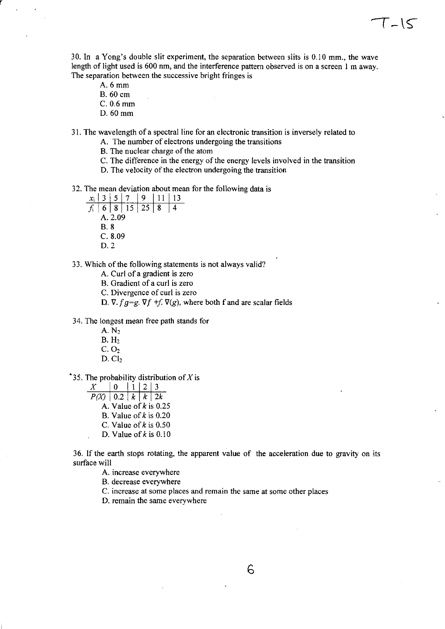30. In a Yong's double slit experiment, the separation between slits is 0.10 mm., the wave length of light used is 600 nm, and the interference pattern observed is on a screen 1 m away. The separation between the successive bright fringes is

 $T-1$  $<$ 

A.6mm

r

- B. 60 em
- C. 0.6 mm
- D.60mm

31. The wavelength of a spectral line for an electronic transition is inversely related to

- A. The number of electrons undergoing the transitions
- B. The nuclear charge of the atom
- C. The difference in the energy of the energy levels involved in the transition
- D. The velocity of the electron undergoing the transition

32. The mean deviation about mean for the following data is  $x_i | 3 | 5 | 7 | 9 | 11 | 13$ 

- *X<sub>i</sub>* | 6 | 8 | 15 | 25 | 8 | 4 A.2.09
	- B.8
	- C. 8.09
	- D.2

33. Which of the following statements is not always valid?

A. Curl of a gradient is zero

B. Gradient of a curl is zero

C. Divergence of curl is zero

D.  $\nabla$ .  $fg = g$ .  $\nabla f + f$ .  $\nabla(g)$ , where both f and are scalar fields

34. The longest mean free path stands for

- A. N2  $B. H<sub>2</sub>$
- $C. O<sub>2</sub>$
- $D.$  Cl<sub>2</sub>

<sup>•</sup>35. The probability distribution of X is

 $\begin{array}{|c|c|c|c|c|c|}\hline X & 0 & 1 & 2 & 3 \\ \hline P(X) & 0.2 & k & k & 2k \\ \hline \end{array}$ A. Value of *k* is 0.25 B. Value of *k* is 0.20 C. Value of *k* is 0.50 D. Value of  $k$  is 0.10

36. If the earth stops rotating, the apparent value of the acceleration due to gravity on its surface will

A. increase everywhere

B. decrease everywhere

C. increase at some places and remain the same at some other places

D. remain the same everywhere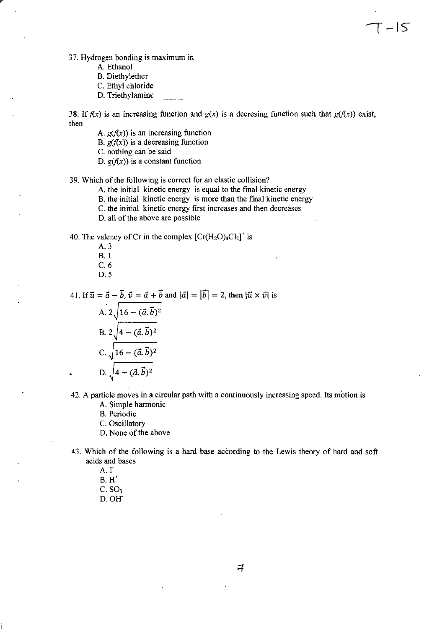37. Hydrogen bonding is maximum in

- A. Ethanol
- B. Diethylether
- C. Ethyl chloride
- D. Triethylamine

38. If  $f(x)$  is an increasing function and  $g(x)$  is a decresing function such that  $g(f(x))$  exist, then

 $T - 15$ 

- A.  $g(f(x))$  is an increasing function
- B.  $g(f(x))$  is a decreasing function
- C. nothing can be said
- D.  $g(f(x))$  is a constant function

39. Which of the following is correct for an elastic collision?

- A. the initial kinetic energy is equal to the final kinetic energy
- B. the initial kinetic energy is more than the final kinetic energy
- C. the initial kinetic energy first increases and then decreases
- D. all of the above are possible

40. The valency of Cr in the complex  $[Cr(H<sub>2</sub>O)<sub>4</sub>Cl<sub>2</sub>]<sup>+</sup>$  is

- A.3 B.l C.6
- D.5

41. If  $\vec{u} = \vec{a} - \vec{b}$ ,  $\vec{v} = \vec{a} + \vec{b}$  and  $|\vec{a}| = |\vec{b}| = 2$ , then  $|\vec{u} \times \vec{v}|$  is

A. 
$$
2\sqrt{16 - (\vec{a} \cdot \vec{b})^2}
$$
  
\nB.  $2\sqrt{4 - (\vec{a} \cdot \vec{b})^2}$   
\nC.  $\sqrt{16 - (\vec{a} \cdot \vec{b})^2}$   
\nD.  $\sqrt{4 - (\vec{a} \cdot \vec{b})^2}$ 

- 42. A particle moves in a circular path with a continuously increasing speed. Its motion is
	- A. Simple harmonic

B. Periodic

- C. Oscillatory
- D. None of the above
- 43. Which of the following is a hard base according to the Lewis theory of hard and soft acids and bases
	- A.<sub>I</sub>
	- $B.H^+$
	- $C. SO<sub>3</sub>$
	- D.OR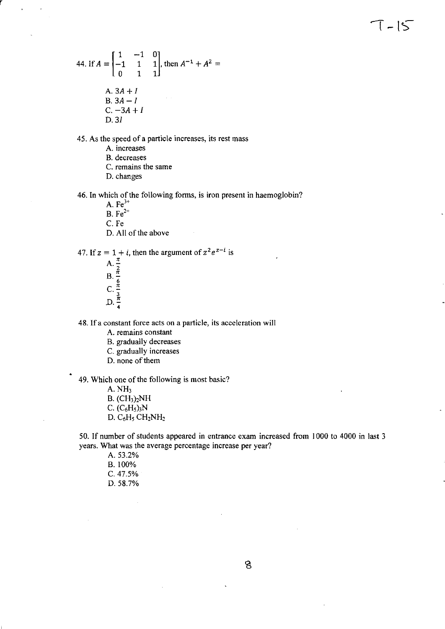44. If 
$$
A = \begin{bmatrix} 1 & -1 & 0 \\ -1 & 1 & 1 \\ 0 & 1 & 1 \end{bmatrix}
$$
, then  $A^{-1} + A^2 = A$ .   
\nA.  $3A + I$   
\nB.  $3A - I$   
\nC.  $-3A + I$   
\nD.  $3I$ 

45. As the speed of a particle increases, its rest mass

A. increases

r

B. decreases

C. remains the same

D. changes

46. In which of the following forms, is iron present in haemoglobin?

A.  $Fe^{3+}$ 

B.  $Fe^{2+}$ 

C. Fe

D. All of the above

47. If  $z = 1 + i$ , then the argument of  $z^2 e^{z-i}$  is

A.  $\frac{\pi}{2}$ B.  $\frac{n}{6}$ <br>C.  $\frac{n}{3}$  $D. \frac{\pi}{4}$ 

48. If a constant force acts on a particle, its acceleration will

A. remains constant

B. gradually decreases

C. gradually increases

D. none of them

49. Which one of the following is most basic?

A. NH3

B. (CH3)2NH C.  $(C_6H_5)_3N$ D.  $C_6H_5$  CH<sub>2</sub>NH<sub>2</sub>

50. If number of students appeared in entrance exam increased from 1000 to 4000 in last 3 years. What was the average percentage increase per year?

A.53.2% B. 100% C.47.5% 0.58.7%

8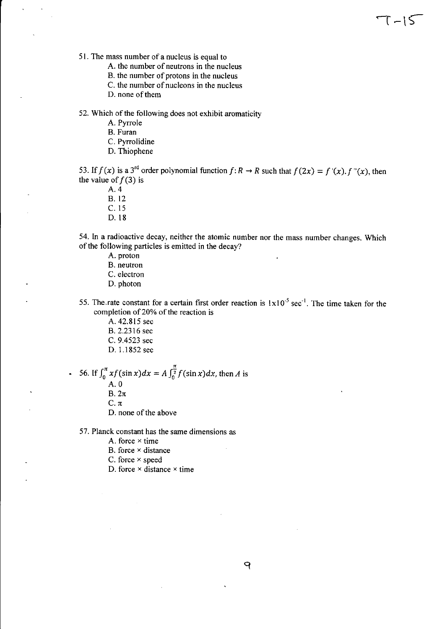51. The mass number of a nucleus is equal to

A. the number of neutrons in the nucleus

- B. the number of protons in the nucleus
- C. the number of nucleons in the nucleus
- D. none of them

52. Which of the following does not exhibit aromaticity

- A. Pyrrole
- B. Furan
- C. Pyrrolidine
- D. Thiophene

53. If  $f(x)$  is a 3<sup>rd</sup> order polynomial function  $f: R \to R$  such that  $f(2x) = f'(x) \cdot f''(x)$ , then the value of  $f(3)$  is

 $T-15$ 

A.4

- B.12
- C. 15
- D.18

54. In a radioactive decay, neither the atomic number nor the mass number changes. Which of the following particles is emitted in the decay?

- A. proton
- B. neutron
- C. electron
- D. photon
- 55. The rate constant for a certain first order reaction is  $1x10^{-5}$  sec<sup>-1</sup>. The time taken for the completion of 20% of the reaction is
	- A. 42.815 sec
	- B. 2.2316 sec
	- C. 9.4523 sec
	- D. 1.1852 sec
- 56. If  $\int_0^{\pi} xf(\sin x)dx = A \int_0^{\frac{\pi}{2}} f(\sin x)dx$ , then *A* is A.O

 $B. 2\pi$ 

 $C.\pi$ 

- D. none of the above
- 57. Planck constant has the same dimensions as
	- A. force  $\times$  time
	- B. force  $\times$  distance
	- C. force  $\times$  speed
	- D. force  $\times$  distance  $\times$  time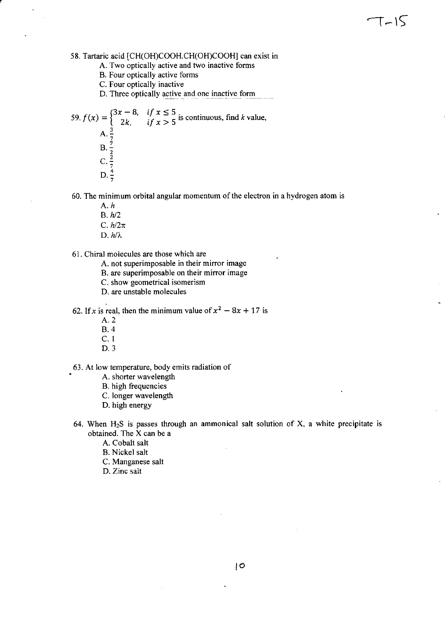- A. Two optically active and two inactive forms
- B. Four optically active forms
- C. Four optically inactive

D. Three optically active and one inactive form

59. 
$$
f(x) = \begin{cases} 3x - 8, & \text{if } x \le 5 \\ 2k, & \text{if } x > 5 \text{ is continuous, find } k \text{ value,} \\ A. \frac{3}{7} \\ B. \frac{7}{2} \\ C. \frac{2}{7} \\ D. \frac{4}{7} \end{cases}
$$

60. The minimum orbital angular momentum of the electron in a hydrogen atom is

 $T-15$ 

*A.h* 

r

- B. h/2
- C.  $h/2\pi$
- $D.$   $h/\lambda$ .

61. Chiral molecules are those which are

A. not superimposable in their mirror image

- B. are superimposable on their mirror image
- C. show geometrical isomerism
- D. are unstable molecules

62. If x is real, then the minimum value of  $x^2 - 8x + 17$  is

- A.2
- B.4
- C. I
- 0.3

63. At low temperature, body emits radiation of

- A. shorter wavelength
- B. high frequencies
- C. longer wavelength
- D. high energy
- 64. When  $H_2S$  is passes through an ammonical salt solution of X, a white precipitate is obtained. The X can be a
	- A. Cobalt salt
	- B. Nickel salt
	- C. Manganese salt
	- D. Zinc salt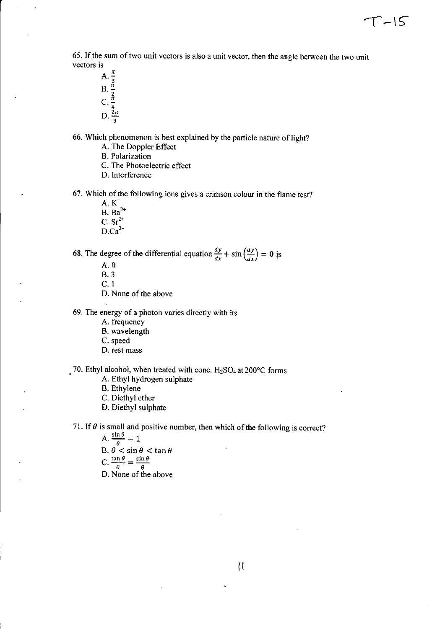65. If the sum of two unit vectors is also a unit vector, then the angle between the two unit vectors is

 $T - 15$ 

A.  $\frac{\pi}{3}$ B.  $\frac{\pi}{2}$ <br>C.  $\frac{\pi}{4}$  $D. \frac{2\pi}{3}$ 

66. Which phenomenon is best explained by the particle nature of light?

A. The Doppler Effect

B. Polarization

C. The Photoelectric effect

D. Interference

67. Which of the following ions gives a crimson colour in the flame test?

 $A. K^+$  $B. Ba^{2+}$ C.  $Sr^{2+}$  $D.Ca^{2+}$ 

68. The degree of the differential equation  $\frac{dy}{dx} + \sin\left(\frac{dy}{dx}\right) = 0$  is

A.O B.3

C.l

D. None of the above

69. The energy of a photon varies directly with its

A. frequency

B. wavelength

C. speed

D. rest mass

70. Ethyl alcohol, when treated with conc.  $H_2SO_4$  at 200°C forms

A. Ethyl hydrogen sulphate

B. Ethylene

C. Diethyl ether

D. Diethyl sulphate

71. If  $\theta$  is small and positive number, then which of the following is correct?

A.  $\frac{\sin \theta}{\theta} = 1$ B.  $\theta$  < sin  $\theta$  < tan  $\theta$  $C. \frac{\tan \theta}{\theta} = \frac{\sin \theta}{\theta}$ D. None of the above

 $\mathcal{U}$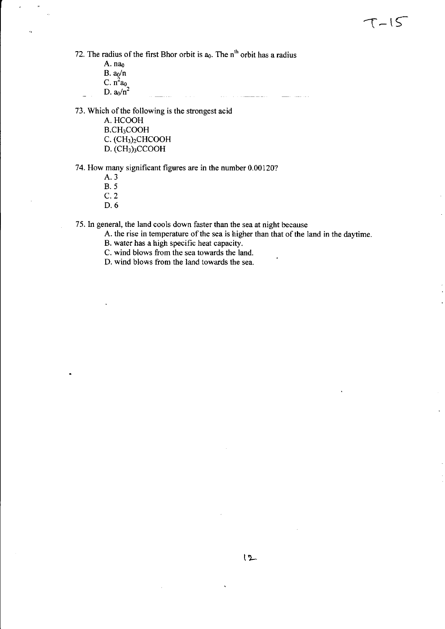A. nao  $B. a_0/n$ C.  $n^2a_0$ D.  $a_0/n^2$ 

an di kacamatan Inggris Kalèndher Kalèndher Kalèndher Kalèndher Kalèndher Kalèndher Kalèndher Kalèndher Kalènd<br>Kalèndher Kalèndher Kalèndher Kalèndher Kalèndher Kalèndher Kalèndher Kalèndher Kalèndher Kalèndher Kalèndher 

73. Which of the following is the strongest acid

A. HCOOH B.CH3COOH C. (CH3)2CHCOOH D. (CH3)3CCOOH

74. How many significant figures are in the number 0.00120?

- A.3 B.5
- C.2
- 0.6

75. In general, the land cools down faster than the sea at night because

A. the rise in temperature of the sea is higher than that of the land in the daytime.

 $T-15$ 

- B. water has a high specific heat capacity.
- C. wind blows from the sea towards the land.
- D. wind blows from the land towards the sea.